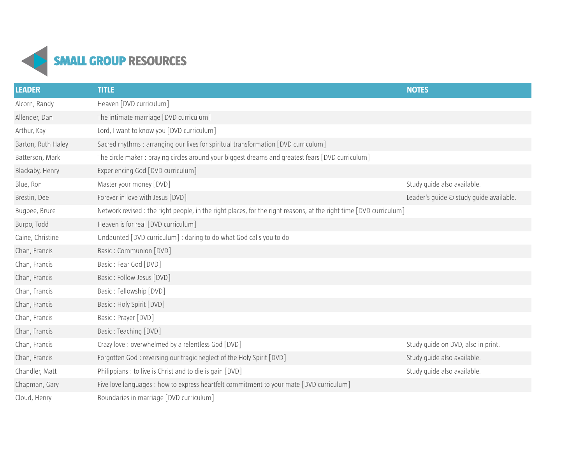

| <b>LEADER</b>      | <b>TITLE</b>                                                                                                       | <b>NOTES</b>                            |
|--------------------|--------------------------------------------------------------------------------------------------------------------|-----------------------------------------|
| Alcorn, Randy      | Heaven [DVD curriculum]                                                                                            |                                         |
| Allender, Dan      | The intimate marriage [DVD curriculum]                                                                             |                                         |
| Arthur, Kay        | Lord, I want to know you [DVD curriculum]                                                                          |                                         |
| Barton, Ruth Haley | Sacred rhythms : arranging our lives for spiritual transformation [DVD curriculum]                                 |                                         |
| Batterson, Mark    | The circle maker: praying circles around your biggest dreams and greatest fears [DVD curriculum]                   |                                         |
| Blackaby, Henry    | Experiencing God [DVD curriculum]                                                                                  |                                         |
| Blue, Ron          | Master your money [DVD]                                                                                            | Study quide also available.             |
| Brestin, Dee       | Forever in love with Jesus [DVD]                                                                                   | Leader's guide & study guide available. |
| Bugbee, Bruce      | Network revised : the right people, in the right places, for the right reasons, at the right time [DVD curriculum] |                                         |
| Burpo, Todd        | Heaven is for real [DVD curriculum]                                                                                |                                         |
| Caine, Christine   | Undaunted [DVD curriculum] : daring to do what God calls you to do                                                 |                                         |
| Chan, Francis      | Basic: Communion [DVD]                                                                                             |                                         |
| Chan, Francis      | Basic: Fear God [DVD]                                                                                              |                                         |
| Chan, Francis      | Basic: Follow Jesus [DVD]                                                                                          |                                         |
| Chan, Francis      | Basic: Fellowship [DVD]                                                                                            |                                         |
| Chan, Francis      | Basic: Holy Spirit [DVD]                                                                                           |                                         |
| Chan, Francis      | Basic: Prayer [DVD]                                                                                                |                                         |
| Chan, Francis      | Basic: Teaching [DVD]                                                                                              |                                         |
| Chan, Francis      | Crazy love: overwhelmed by a relentless God [DVD]                                                                  | Study guide on DVD, also in print.      |
| Chan, Francis      | Forgotten God: reversing our tragic neglect of the Holy Spirit [DVD]                                               | Study guide also available.             |
| Chandler, Matt     | Philippians : to live is Christ and to die is gain [DVD]                                                           | Study guide also available.             |
| Chapman, Gary      | Five love languages : how to express heartfelt commitment to your mate [DVD curriculum]                            |                                         |
| Cloud, Henry       | Boundaries in marriage [DVD curriculum]                                                                            |                                         |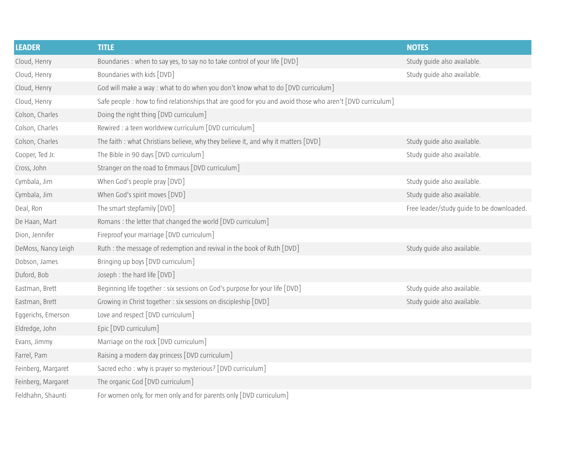| <b>LEADER</b>       | <b>TITLE</b>                                                                                              | <b>NOTES</b>                              |
|---------------------|-----------------------------------------------------------------------------------------------------------|-------------------------------------------|
| Cloud, Henry        | Boundaries : when to say yes, to say no to take control of your life [DVD]                                | Study guide also available.               |
| Cloud, Henry        | Boundaries with kids [DVD]                                                                                | Study guide also available.               |
| Cloud, Henry        | God will make a way : what to do when you don't know what to do [DVD curriculum]                          |                                           |
| Cloud, Henry        | Safe people : how to find relationships that are good for you and avoid those who aren't [DVD curriculum] |                                           |
| Colson, Charles     | Doing the right thing [DVD curriculum]                                                                    |                                           |
| Colson, Charles     | Rewired : a teen worldview curriculum [DVD curriculum]                                                    |                                           |
| Colson, Charles     | The faith: what Christians believe, why they believe it, and why it matters [DVD]                         | Study guide also available.               |
| Cooper, Ted Jr.     | The Bible in 90 days [DVD curriculum]                                                                     | Study guide also available.               |
| Cross, John         | Stranger on the road to Emmaus [DVD curriculum]                                                           |                                           |
| Cymbala, Jim        | When God's people pray [DVD]                                                                              | Study guide also available.               |
| Cymbala, Jim        | When God's spirit moves [DVD]                                                                             | Study guide also available.               |
| Deal, Ron           | The smart stepfamily [DVD]                                                                                | Free leader/study guide to be downloaded. |
| De Haan, Mart       | Romans: the letter that changed the world [DVD curriculum]                                                |                                           |
| Dion, Jennifer      | Fireproof your marriage [DVD curriculum]                                                                  |                                           |
| DeMoss, Nancy Leigh | Ruth : the message of redemption and revival in the book of Ruth [DVD]                                    | Study guide also available.               |
| Dobson, James       | Bringing up boys [DVD curriculum]                                                                         |                                           |
| Duford, Bob         | Joseph : the hard life [DVD]                                                                              |                                           |
| Eastman, Brett      | Beginning life together : six sessions on God's purpose for your life [DVD]                               | Study guide also available.               |
| Eastman, Brett      | Growing in Christ together: six sessions on discipleship [DVD]                                            | Study guide also available.               |
| Eggerichs, Emerson  | Love and respect [DVD curriculum]                                                                         |                                           |
| Eldredge, John      | Epic [DVD curriculum]                                                                                     |                                           |
| Evans, Jimmy        | Marriage on the rock [DVD curriculum]                                                                     |                                           |
| Farrel, Pam         | Raising a modern day princess [DVD curriculum]                                                            |                                           |
| Feinberg, Margaret  | Sacred echo: why is prayer so mysterious? [DVD curriculum]                                                |                                           |
| Feinberg, Margaret  | The organic God [DVD curriculum]                                                                          |                                           |
| Feldhahn, Shaunti   | For women only, for men only and for parents only [DVD curriculum]                                        |                                           |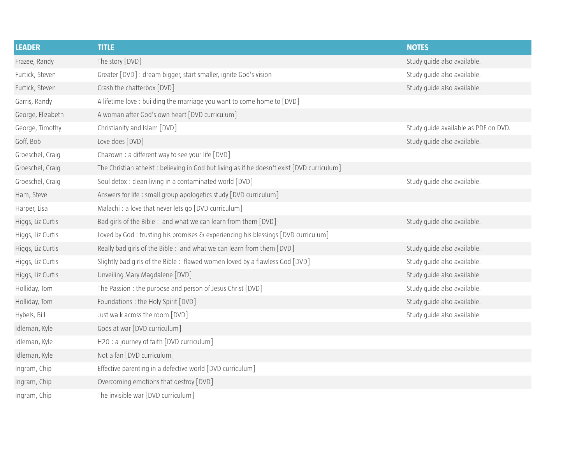| <b>LEADER</b>     | <b>TITLE</b>                                                                                | <b>NOTES</b>                         |
|-------------------|---------------------------------------------------------------------------------------------|--------------------------------------|
| Frazee, Randy     | The story [DVD]                                                                             | Study quide also available.          |
| Furtick, Steven   | Greater [DVD] : dream bigger, start smaller, ignite God's vision                            | Study guide also available.          |
| Furtick, Steven   | Crash the chatterbox [DVD]                                                                  | Study guide also available.          |
| Garris, Randy     | A lifetime love : building the marriage you want to come home to [DVD]                      |                                      |
| George, Elizabeth | A woman after God's own heart [DVD curriculum]                                              |                                      |
| George, Timothy   | Christianity and Islam [DVD]                                                                | Study guide available as PDF on DVD. |
| Goff, Bob         | Love does [DVD]                                                                             | Study guide also available.          |
| Groeschel, Craig  | Chazown : a different way to see your life [DVD]                                            |                                      |
| Groeschel, Craig  | The Christian atheist : believing in God but living as if he doesn't exist [DVD curriculum] |                                      |
| Groeschel, Craig  | Soul detox : clean living in a contaminated world [DVD]                                     | Study guide also available.          |
| Ham, Steve        | Answers for life: small group apologetics study [DVD curriculum]                            |                                      |
| Harper, Lisa      | Malachi : a love that never lets go [DVD curriculum]                                        |                                      |
| Higgs, Liz Curtis | Bad girls of the Bible: and what we can learn from them [DVD]                               | Study guide also available.          |
| Higgs, Liz Curtis | Loved by God: trusting his promises & experiencing his blessings [DVD curriculum]           |                                      |
| Higgs, Liz Curtis | Really bad girls of the Bible: and what we can learn from them [DVD]                        | Study quide also available.          |
| Higgs, Liz Curtis | Slightly bad girls of the Bible: flawed women loved by a flawless God [DVD]                 | Study guide also available.          |
| Higgs, Liz Curtis | Unveiling Mary Magdalene [DVD]                                                              | Study guide also available.          |
| Holliday, Tom     | The Passion : the purpose and person of Jesus Christ [DVD]                                  | Study guide also available.          |
| Holliday, Tom     | Foundations: the Holy Spirit [DVD]                                                          | Study guide also available.          |
| Hybels, Bill      | Just walk across the room [DVD]                                                             | Study guide also available.          |
| Idleman, Kyle     | Gods at war [DVD curriculum]                                                                |                                      |
| Idleman, Kyle     | H2O: a journey of faith [DVD curriculum]                                                    |                                      |
| Idleman, Kyle     | Not a fan [DVD curriculum]                                                                  |                                      |
| Ingram, Chip      | Effective parenting in a defective world [DVD curriculum]                                   |                                      |
| Ingram, Chip      | Overcoming emotions that destroy [DVD]                                                      |                                      |
| Ingram, Chip      | The invisible war [DVD curriculum]                                                          |                                      |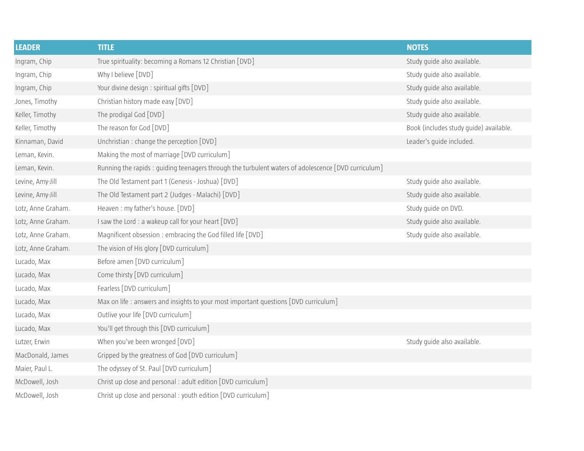| <b>LEADER</b>      | <b>TITLE</b>                                                                                       | <b>NOTES</b>                           |
|--------------------|----------------------------------------------------------------------------------------------------|----------------------------------------|
| Ingram, Chip       | True spirituality: becoming a Romans 12 Christian [DVD]                                            | Study quide also available.            |
| Ingram, Chip       | Why I believe [DVD]                                                                                | Study guide also available.            |
| Ingram, Chip       | Your divine design : spiritual gifts [DVD]                                                         | Study guide also available.            |
| Jones, Timothy     | Christian history made easy [DVD]                                                                  | Study guide also available.            |
| Keller, Timothy    | The prodigal God [DVD]                                                                             | Study guide also available.            |
| Keller, Timothy    | The reason for God [DVD]                                                                           | Book (includes study guide) available. |
| Kinnaman, David    | Unchristian : change the perception [DVD]                                                          | Leader's guide included.               |
| Leman, Kevin.      | Making the most of marriage [DVD curriculum]                                                       |                                        |
| Leman, Kevin.      | Running the rapids: guiding teenagers through the turbulent waters of adolescence [DVD curriculum] |                                        |
| Levine, Amy-Jill   | The Old Testament part 1 (Genesis - Joshua) [DVD]                                                  | Study guide also available.            |
| Levine, Amy-Jill   | The Old Testament part 2 (Judges - Malachi) [DVD]                                                  | Study guide also available.            |
| Lotz, Anne Graham. | Heaven: my father's house. [DVD]                                                                   | Study guide on DVD.                    |
| Lotz, Anne Graham. | I saw the Lord : a wakeup call for your heart [DVD]                                                | Study guide also available.            |
| Lotz, Anne Graham. | Magnificent obsession: embracing the God filled life [DVD]                                         | Study guide also available.            |
| Lotz, Anne Graham. | The vision of His glory [DVD curriculum]                                                           |                                        |
| Lucado, Max        | Before amen [DVD curriculum]                                                                       |                                        |
| Lucado, Max        | Come thirsty [DVD curriculum]                                                                      |                                        |
| Lucado, Max        | Fearless [DVD curriculum]                                                                          |                                        |
| Lucado, Max        | Max on life: answers and insights to your most important questions [DVD curriculum]                |                                        |
| Lucado, Max        | Outlive your life [DVD curriculum]                                                                 |                                        |
| Lucado, Max        | You'll get through this [DVD curriculum]                                                           |                                        |
| Lutzer, Erwin      | When you've been wronged [DVD]                                                                     | Study guide also available.            |
| MacDonald, James   | Gripped by the greatness of God [DVD curriculum]                                                   |                                        |
| Maier, Paul L.     | The odyssey of St. Paul [DVD curriculum]                                                           |                                        |
| McDowell, Josh     | Christ up close and personal : adult edition [DVD curriculum]                                      |                                        |
| McDowell, Josh     | Christ up close and personal : youth edition [DVD curriculum]                                      |                                        |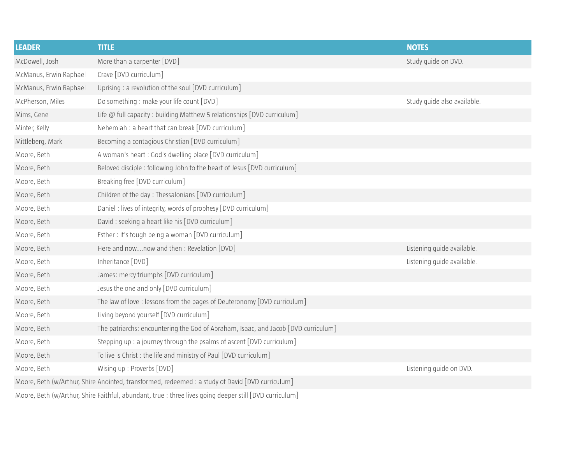| McDowell, Josh<br>More than a carpenter [DVD]<br>Study guide on DVD.<br>Crave [DVD curriculum]<br>McManus, Erwin Raphael<br>Uprising : a revolution of the soul [DVD curriculum]<br>McManus, Erwin Raphael<br>Do something : make your life count [DVD]<br>Study guide also available.<br>McPherson, Miles<br>Mims, Gene<br>Life $@$ full capacity : building Matthew 5 relationships $[DVD$ curriculum] |
|----------------------------------------------------------------------------------------------------------------------------------------------------------------------------------------------------------------------------------------------------------------------------------------------------------------------------------------------------------------------------------------------------------|
|                                                                                                                                                                                                                                                                                                                                                                                                          |
|                                                                                                                                                                                                                                                                                                                                                                                                          |
|                                                                                                                                                                                                                                                                                                                                                                                                          |
|                                                                                                                                                                                                                                                                                                                                                                                                          |
|                                                                                                                                                                                                                                                                                                                                                                                                          |
| Nehemiah : a heart that can break [DVD curriculum]<br>Minter, Kelly                                                                                                                                                                                                                                                                                                                                      |
| Mittleberg, Mark<br>Becoming a contagious Christian [DVD curriculum]                                                                                                                                                                                                                                                                                                                                     |
| A woman's heart: God's dwelling place [DVD curriculum]<br>Moore, Beth                                                                                                                                                                                                                                                                                                                                    |
| Moore, Beth<br>Beloved disciple: following John to the heart of Jesus [DVD curriculum]                                                                                                                                                                                                                                                                                                                   |
| Moore, Beth<br>Breaking free [DVD curriculum]                                                                                                                                                                                                                                                                                                                                                            |
| Children of the day: Thessalonians [DVD curriculum]<br>Moore, Beth                                                                                                                                                                                                                                                                                                                                       |
| Moore, Beth<br>Daniel: lives of integrity, words of prophesy [DVD curriculum]                                                                                                                                                                                                                                                                                                                            |
| David: seeking a heart like his [DVD curriculum]<br>Moore, Beth                                                                                                                                                                                                                                                                                                                                          |
| Moore, Beth<br>Esther: it's tough being a woman $[DVD$ curriculum $]$                                                                                                                                                                                                                                                                                                                                    |
| Moore, Beth<br>Here and nownow and then: Revelation [DVD]<br>Listening guide available.                                                                                                                                                                                                                                                                                                                  |
| Inheritance [DVD]<br>Listening guide available.<br>Moore, Beth                                                                                                                                                                                                                                                                                                                                           |
| James: mercy triumphs [DVD curriculum]<br>Moore, Beth                                                                                                                                                                                                                                                                                                                                                    |
| Jesus the one and only [DVD curriculum]<br>Moore, Beth                                                                                                                                                                                                                                                                                                                                                   |
| The law of love: lessons from the pages of Deuteronomy [DVD curriculum]<br>Moore, Beth                                                                                                                                                                                                                                                                                                                   |
| Living beyond yourself [DVD curriculum]<br>Moore, Beth                                                                                                                                                                                                                                                                                                                                                   |
| The patriarchs: encountering the God of Abraham, Isaac, and Jacob [DVD curriculum]<br>Moore, Beth                                                                                                                                                                                                                                                                                                        |
| Stepping up : a journey through the psalms of ascent [DVD curriculum]<br>Moore, Beth                                                                                                                                                                                                                                                                                                                     |
| To live is Christ : the life and ministry of Paul [DVD curriculum]<br>Moore, Beth                                                                                                                                                                                                                                                                                                                        |
| Wising up: Proverbs [DVD]<br>Moore, Beth<br>Listening guide on DVD.                                                                                                                                                                                                                                                                                                                                      |
| Moore, Beth (w/Arthur, Shire Anointed, transformed, redeemed : a study of David [DVD curriculum]                                                                                                                                                                                                                                                                                                         |

Moore, Beth (w/Arthur, Shire Faithful, abundant, true : three lives going deeper still [DVD curriculum]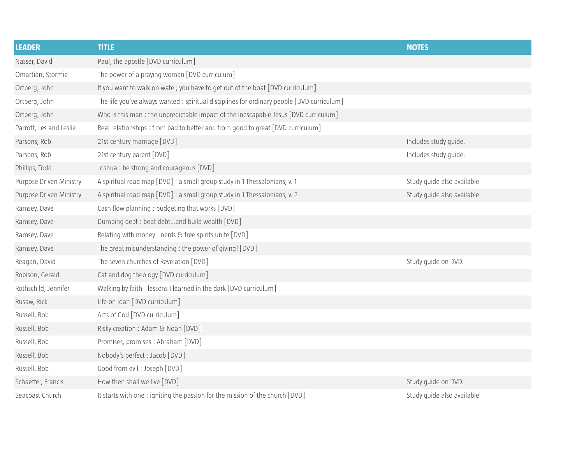| <b>LEADER</b>           | <b>TITLE</b>                                                                               | <b>NOTES</b>                |
|-------------------------|--------------------------------------------------------------------------------------------|-----------------------------|
| Nasser, David           | Paul, the apostle [DVD curriculum]                                                         |                             |
| Omartian, Stormie       | The power of a praying woman [DVD curriculum]                                              |                             |
| Ortberg, John           | If you want to walk on water, you have to get out of the boat [DVD curriculum]             |                             |
| Ortberg, John           | The life you've always wanted : spiritual disciplines for ordinary people [DVD curriculum] |                             |
| Ortberg, John           | Who is this man : the unpredictable impact of the inescapable Jesus [DVD curriculum]       |                             |
| Parrott, Les and Leslie | Real relationships : from bad to better and from good to great [DVD curriculum]            |                             |
| Parsons, Rob            | 21st century marriage [DVD]                                                                | Includes study guide.       |
| Parsons, Rob            | 21st century parent [DVD]                                                                  | Includes study guide.       |
| Phillips, Todd          | Joshua : be strong and courageous [DVD]                                                    |                             |
| Purpose Driven Ministry | A spiritual road map [DVD] : a small group study in 1 Thessalonians, v. 1                  | Study guide also available. |
| Purpose Driven Ministry | A spiritual road map [DVD] : a small group study in 1 Thessalonians, v. 2                  | Study guide also available. |
| Ramsey, Dave            | Cash flow planning : budgeting that works [DVD]                                            |                             |
| Ramsey, Dave            | Dumping debt : beat debtand build wealth [DVD]                                             |                             |
| Ramsey, Dave            | Relating with money : nerds & free spirits unite [DVD]                                     |                             |
| Ramsey, Dave            | The great misunderstanding : the power of giving! [DVD]                                    |                             |
| Reagan, David           | The seven churches of Revelation [DVD]                                                     | Study guide on DVD.         |
| Robison, Gerald         | Cat and dog theology [DVD curriculum]                                                      |                             |
| Rothschild, Jennifer    | Walking by faith : lessons I learned in the dark [DVD curriculum]                          |                             |
| Rusaw, Rick             | Life on loan [DVD curriculum]                                                              |                             |
| Russell, Bob            | Acts of God [DVD curriculum]                                                               |                             |
| Russell, Bob            | Risky creation : Adam & Noah [DVD]                                                         |                             |
| Russell, Bob            | Promises, promises : Abraham [DVD]                                                         |                             |
| Russell, Bob            | Nobody's perfect : Jacob [DVD]                                                             |                             |
| Russell, Bob            | Good from evil: Joseph [DVD]                                                               |                             |
| Schaeffer, Francis      | How then shall we live [DVD]                                                               | Study guide on DVD.         |
| Seacoast Church         | It starts with one: igniting the passion for the mission of the church [DVD]               | Study guide also available. |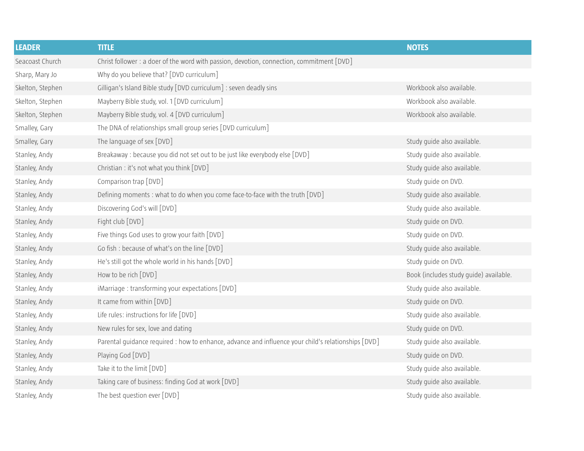| <b>LEADER</b>    | <b>TITLE</b>                                                                                        | <b>NOTES</b>                           |
|------------------|-----------------------------------------------------------------------------------------------------|----------------------------------------|
| Seacoast Church  | Christ follower : a doer of the word with passion, devotion, connection, commitment [DVD]           |                                        |
| Sharp, Mary Jo   | Why do you believe that? [DVD curriculum]                                                           |                                        |
| Skelton, Stephen | Gilligan's Island Bible study [DVD curriculum] : seven deadly sins                                  | Workbook also available.               |
| Skelton, Stephen | Mayberry Bible study, vol. 1 [DVD curriculum]                                                       | Workbook also available.               |
| Skelton, Stephen | Mayberry Bible study, vol. 4 [DVD curriculum]                                                       | Workbook also available.               |
| Smalley, Gary    | The DNA of relationships small group series [DVD curriculum]                                        |                                        |
| Smalley, Gary    | The language of sex [DVD]                                                                           | Study guide also available.            |
| Stanley, Andy    | Breakaway : because you did not set out to be just like everybody else [DVD]                        | Study guide also available.            |
| Stanley, Andy    | Christian : it's not what you think [DVD]                                                           | Study guide also available.            |
| Stanley, Andy    | Comparison trap [DVD]                                                                               | Study guide on DVD.                    |
| Stanley, Andy    | Defining moments : what to do when you come face-to-face with the truth [DVD]                       | Study guide also available.            |
| Stanley, Andy    | Discovering God's will [DVD]                                                                        | Study guide also available.            |
| Stanley, Andy    | Fight club [DVD]                                                                                    | Study guide on DVD.                    |
| Stanley, Andy    | Five things God uses to grow your faith [DVD]                                                       | Study guide on DVD.                    |
| Stanley, Andy    | Go fish : because of what's on the line [DVD]                                                       | Study quide also available.            |
| Stanley, Andy    | He's still got the whole world in his hands [DVD]                                                   | Study quide on DVD.                    |
| Stanley, Andy    | How to be rich [DVD]                                                                                | Book (includes study guide) available. |
| Stanley, Andy    | iMarriage: transforming your expectations [DVD]                                                     | Study guide also available.            |
| Stanley, Andy    | It came from within [DVD]                                                                           | Study guide on DVD.                    |
| Stanley, Andy    | Life rules: instructions for life [DVD]                                                             | Study guide also available.            |
| Stanley, Andy    | New rules for sex, love and dating                                                                  | Study guide on DVD.                    |
| Stanley, Andy    | Parental guidance required : how to enhance, advance and influence your child's relationships [DVD] | Study guide also available.            |
| Stanley, Andy    | Playing God [DVD]                                                                                   | Study guide on DVD.                    |
| Stanley, Andy    | Take it to the limit [DVD]                                                                          | Study quide also available.            |
| Stanley, Andy    | Taking care of business: finding God at work [DVD]                                                  | Study guide also available.            |
| Stanley, Andy    | The best question ever [DVD]                                                                        | Study quide also available.            |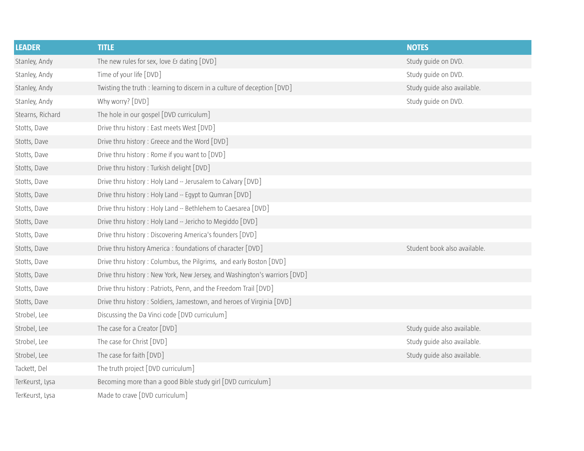| <b>LEADER</b>    | <b>TITLE</b>                                                              | <b>NOTES</b>                 |
|------------------|---------------------------------------------------------------------------|------------------------------|
| Stanley, Andy    | The new rules for sex, love $\delta$ dating $[DVD]$                       | Study guide on DVD.          |
| Stanley, Andy    | Time of your life [DVD]                                                   | Study guide on DVD.          |
| Stanley, Andy    | Twisting the truth : learning to discern in a culture of deception [DVD]  | Study guide also available.  |
| Stanley, Andy    | Why worry? [DVD]                                                          | Study guide on DVD.          |
| Stearns, Richard | The hole in our gospel [DVD curriculum]                                   |                              |
| Stotts, Dave     | Drive thru history : East meets West [DVD]                                |                              |
| Stotts, Dave     | Drive thru history: Greece and the Word [DVD]                             |                              |
| Stotts, Dave     | Drive thru history: Rome if you want to [DVD]                             |                              |
| Stotts, Dave     | Drive thru history: Turkish delight [DVD]                                 |                              |
| Stotts, Dave     | Drive thru history: Holy Land -- Jerusalem to Calvary [DVD]               |                              |
| Stotts, Dave     | Drive thru history : Holy Land -- Egypt to Qumran [DVD]                   |                              |
| Stotts, Dave     | Drive thru history : Holy Land -- Bethlehem to Caesarea [DVD]             |                              |
| Stotts, Dave     | Drive thru history : Holy Land -- Jericho to Megiddo [DVD]                |                              |
| Stotts, Dave     | Drive thru history: Discovering America's founders [DVD]                  |                              |
| Stotts, Dave     | Drive thru history America : foundations of character [DVD]               | Student book also available. |
| Stotts, Dave     | Drive thru history: Columbus, the Pilgrims, and early Boston [DVD]        |                              |
| Stotts, Dave     | Drive thru history: New York, New Jersey, and Washington's warriors [DVD] |                              |
| Stotts, Dave     | Drive thru history: Patriots, Penn, and the Freedom Trail [DVD]           |                              |
| Stotts, Dave     | Drive thru history : Soldiers, Jamestown, and heroes of Virginia [DVD]    |                              |
| Strobel, Lee     | Discussing the Da Vinci code [DVD curriculum]                             |                              |
| Strobel, Lee     | The case for a Creator [DVD]                                              | Study guide also available.  |
| Strobel, Lee     | The case for Christ [DVD]                                                 | Study guide also available.  |
| Strobel, Lee     | The case for faith [DVD]                                                  | Study guide also available.  |
| Tackett, Del     | The truth project [DVD curriculum]                                        |                              |
| TerKeurst, Lysa  | Becoming more than a good Bible study girl [DVD curriculum]               |                              |
| TerKeurst, Lysa  | Made to crave [DVD curriculum]                                            |                              |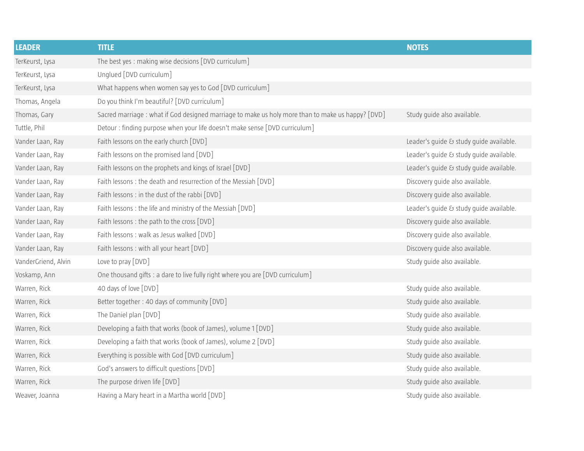| <b>LEADER</b>       | <b>TITLE</b>                                                                                      | <b>NOTES</b>                            |
|---------------------|---------------------------------------------------------------------------------------------------|-----------------------------------------|
| TerKeurst, Lysa     | The best yes: making wise decisions [DVD curriculum]                                              |                                         |
| TerKeurst, Lysa     | Unglued [DVD curriculum]                                                                          |                                         |
| TerKeurst, Lysa     | What happens when women say yes to God [DVD curriculum]                                           |                                         |
| Thomas, Angela      | Do you think I'm beautiful? [DVD curriculum]                                                      |                                         |
| Thomas, Gary        | Sacred marriage : what if God designed marriage to make us holy more than to make us happy? [DVD] | Study guide also available.             |
| Tuttle, Phil        | Detour: finding purpose when your life doesn't make sense [DVD curriculum]                        |                                         |
| Vander Laan, Ray    | Faith lessons on the early church [DVD]                                                           | Leader's quide & study quide available. |
| Vander Laan, Ray    | Faith lessons on the promised land [DVD]                                                          | Leader's guide & study guide available. |
| Vander Laan, Ray    | Faith lessons on the prophets and kings of Israel [DVD]                                           | Leader's guide & study guide available. |
| Vander Laan, Ray    | Faith lessons: the death and resurrection of the Messiah [DVD]                                    | Discovery guide also available.         |
| Vander Laan, Ray    | Faith lessons: in the dust of the rabbi [DVD]                                                     | Discovery quide also available.         |
| Vander Laan, Ray    | Faith lessons: the life and ministry of the Messiah [DVD]                                         | Leader's guide & study guide available. |
| Vander Laan, Ray    | Faith lessons: the path to the cross [DVD]                                                        | Discovery quide also available.         |
| Vander Laan, Ray    | Faith lessons: walk as Jesus walked [DVD]                                                         | Discovery quide also available.         |
| Vander Laan, Ray    | Faith lessons: with all your heart [DVD]                                                          | Discovery guide also available.         |
| VanderGriend, Alvin | Love to pray $[DVD]$                                                                              | Study guide also available.             |
| Voskamp, Ann        | One thousand gifts : a dare to live fully right where you are [DVD curriculum]                    |                                         |
| Warren, Rick        | 40 days of love [DVD]                                                                             | Study guide also available.             |
| Warren, Rick        | Better together: 40 days of community [DVD]                                                       | Study quide also available.             |
| Warren, Rick        | The Daniel plan [DVD]                                                                             | Study guide also available.             |
| Warren, Rick        | Developing a faith that works (book of James), volume 1 [DVD]                                     | Study guide also available.             |
| Warren, Rick        | Developing a faith that works (book of James), volume 2 [DVD]                                     | Study guide also available.             |
| Warren, Rick        | Everything is possible with God [DVD curriculum]                                                  | Study guide also available.             |
| Warren, Rick        | God's answers to difficult questions [DVD]                                                        | Study guide also available.             |
| Warren, Rick        | The purpose driven life [DVD]                                                                     | Study guide also available.             |
| Weaver, Joanna      | Having a Mary heart in a Martha world [DVD]                                                       | Study quide also available.             |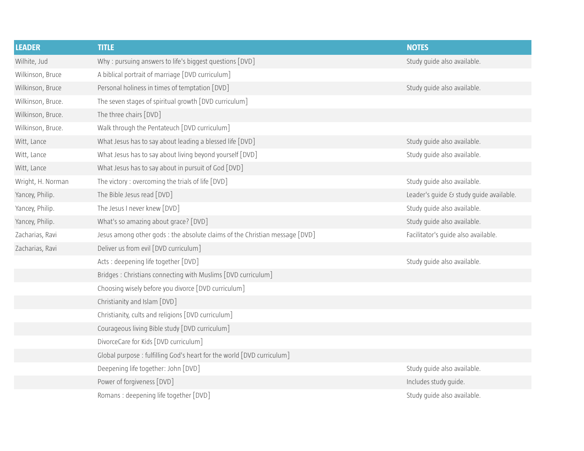| <b>LEADER</b>     | <b>TITLE</b>                                                                | <b>NOTES</b>                            |
|-------------------|-----------------------------------------------------------------------------|-----------------------------------------|
| Wilhite, Jud      | Why: pursuing answers to life's biggest questions [DVD]                     | Study guide also available.             |
| Wilkinson, Bruce  | A biblical portrait of marriage [DVD curriculum]                            |                                         |
| Wilkinson, Bruce  | Personal holiness in times of temptation [DVD]                              | Study guide also available.             |
| Wilkinson, Bruce. | The seven stages of spiritual growth [DVD curriculum]                       |                                         |
| Wilkinson, Bruce. | The three chairs [DVD]                                                      |                                         |
| Wilkinson, Bruce. | Walk through the Pentateuch [DVD curriculum]                                |                                         |
| Witt, Lance       | What Jesus has to say about leading a blessed life [DVD]                    | Study quide also available.             |
| Witt, Lance       | What Jesus has to say about living beyond yourself [DVD]                    | Study guide also available.             |
| Witt, Lance       | What Jesus has to say about in pursuit of God [DVD]                         |                                         |
| Wright, H. Norman | The victory: overcoming the trials of life [DVD]                            | Study guide also available.             |
| Yancey, Philip.   | The Bible Jesus read [DVD]                                                  | Leader's guide & study guide available. |
| Yancey, Philip.   | The Jesus I never knew [DVD]                                                | Study guide also available.             |
| Yancey, Philip.   | What's so amazing about grace? [DVD]                                        | Study guide also available.             |
| Zacharias, Ravi   | Jesus among other gods : the absolute claims of the Christian message [DVD] | Facilitator's guide also available.     |
| Zacharias, Ravi   | Deliver us from evil [DVD curriculum]                                       |                                         |
|                   | Acts: deepening life together [DVD]                                         | Study guide also available.             |
|                   | Bridges: Christians connecting with Muslims [DVD curriculum]                |                                         |
|                   | Choosing wisely before you divorce [DVD curriculum]                         |                                         |
|                   | Christianity and Islam [DVD]                                                |                                         |
|                   | Christianity, cults and religions [DVD curriculum]                          |                                         |
|                   | Courageous living Bible study [DVD curriculum]                              |                                         |
|                   | DivorceCare for Kids [DVD curriculum]                                       |                                         |
|                   | Global purpose: fulfilling God's heart for the world [DVD curriculum]       |                                         |
|                   | Deepening life together: John [DVD]                                         | Study guide also available.             |
|                   | Power of forgiveness [DVD]                                                  | Includes study guide.                   |
|                   | Romans: deepening life together [DVD]                                       | Study guide also available.             |